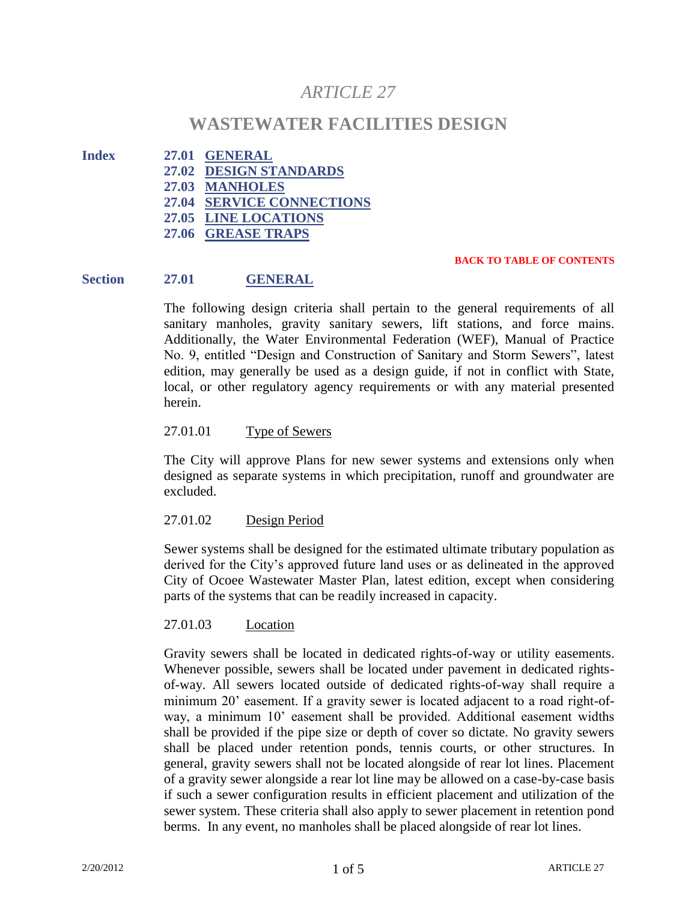# *ARTICLE 27*

## **WASTEWATER FACILITIES DESIGN**

- **Index 27.01 GENERAL 27.02 DESIGN STANDARDS**
	- **27.03 MANHOLES**
	- **27.04 SERVICE CONNECTIONS**
	- **27.05 LINE LOCATIONS**
	- **27.06 GREASE TRAPS**

#### **BACK TO TABLE OF CONTENTS**

## **Section 27.01 GENERAL**

The following design criteria shall pertain to the general requirements of all sanitary manholes, gravity sanitary sewers, lift stations, and force mains. Additionally, the Water Environmental Federation (WEF), Manual of Practice No. 9, entitled "Design and Construction of Sanitary and Storm Sewers", latest edition, may generally be used as a design guide, if not in conflict with State, local, or other regulatory agency requirements or with any material presented herein.

## 27.01.01 Type of Sewers

The City will approve Plans for new sewer systems and extensions only when designed as separate systems in which precipitation, runoff and groundwater are excluded.

## 27.01.02 Design Period

Sewer systems shall be designed for the estimated ultimate tributary population as derived for the City's approved future land uses or as delineated in the approved City of Ocoee Wastewater Master Plan, latest edition, except when considering parts of the systems that can be readily increased in capacity.

## 27.01.03 Location

Gravity sewers shall be located in dedicated rights-of-way or utility easements. Whenever possible, sewers shall be located under pavement in dedicated rightsof-way. All sewers located outside of dedicated rights-of-way shall require a minimum 20' easement. If a gravity sewer is located adjacent to a road right-ofway, a minimum 10' easement shall be provided. Additional easement widths shall be provided if the pipe size or depth of cover so dictate. No gravity sewers shall be placed under retention ponds, tennis courts, or other structures. In general, gravity sewers shall not be located alongside of rear lot lines. Placement of a gravity sewer alongside a rear lot line may be allowed on a case-by-case basis if such a sewer configuration results in efficient placement and utilization of the sewer system. These criteria shall also apply to sewer placement in retention pond berms. In any event, no manholes shall be placed alongside of rear lot lines.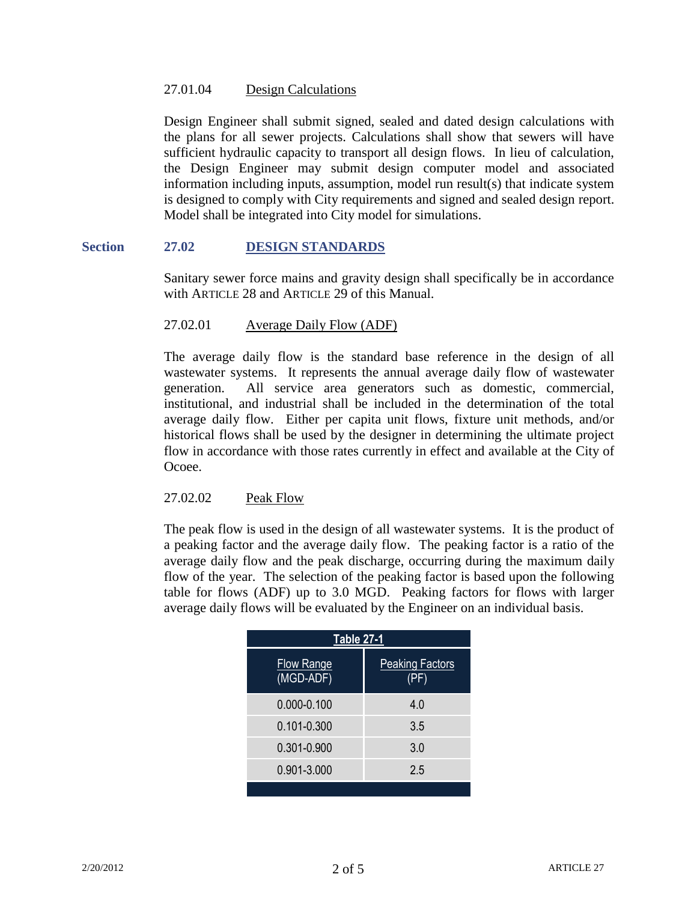#### 27.01.04 Design Calculations

Design Engineer shall submit signed, sealed and dated design calculations with the plans for all sewer projects. Calculations shall show that sewers will have sufficient hydraulic capacity to transport all design flows. In lieu of calculation, the Design Engineer may submit design computer model and associated information including inputs, assumption, model run result(s) that indicate system is designed to comply with City requirements and signed and sealed design report. Model shall be integrated into City model for simulations.

#### **Section 27.02 DESIGN STANDARDS**

Sanitary sewer force mains and gravity design shall specifically be in accordance with ARTICLE 28 and ARTICLE 29 of this Manual.

## 27.02.01 Average Daily Flow (ADF)

The average daily flow is the standard base reference in the design of all wastewater systems. It represents the annual average daily flow of wastewater generation. All service area generators such as domestic, commercial, institutional, and industrial shall be included in the determination of the total average daily flow. Either per capita unit flows, fixture unit methods, and/or historical flows shall be used by the designer in determining the ultimate project flow in accordance with those rates currently in effect and available at the City of Ocoee.

#### 27.02.02 Peak Flow

The peak flow is used in the design of all wastewater systems. It is the product of a peaking factor and the average daily flow. The peaking factor is a ratio of the average daily flow and the peak discharge, occurring during the maximum daily flow of the year. The selection of the peaking factor is based upon the following table for flows (ADF) up to 3.0 MGD. Peaking factors for flows with larger average daily flows will be evaluated by the Engineer on an individual basis.

| Table 27-1                     |                        |
|--------------------------------|------------------------|
| <b>Flow Range</b><br>(MGD-ADF) | <b>Peaking Factors</b> |
| $0.000 - 0.100$                | 4.0                    |
| $0.101 - 0.300$                | 3.5                    |
| 0.301-0.900                    | 3.0                    |
| 0.901-3.000                    | 2.5                    |
|                                |                        |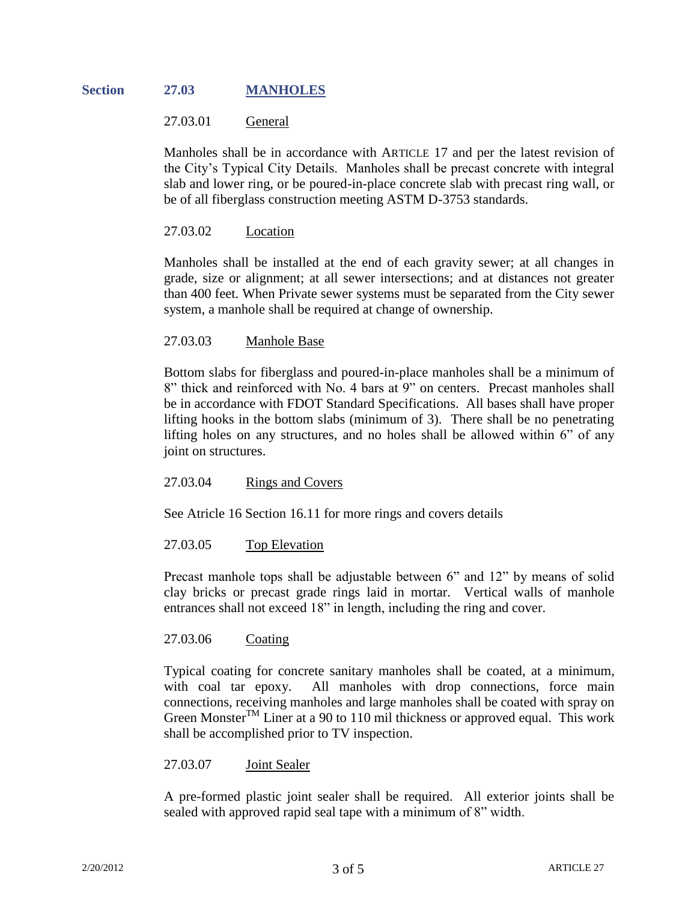## **Section 27.03 MANHOLES**

### 27.03.01 General

Manholes shall be in accordance with ARTICLE 17 and per the latest revision of the City's Typical City Details. Manholes shall be precast concrete with integral slab and lower ring, or be poured-in-place concrete slab with precast ring wall, or be of all fiberglass construction meeting ASTM D-3753 standards.

## 27.03.02 Location

Manholes shall be installed at the end of each gravity sewer; at all changes in grade, size or alignment; at all sewer intersections; and at distances not greater than 400 feet. When Private sewer systems must be separated from the City sewer system, a manhole shall be required at change of ownership.

#### 27.03.03 Manhole Base

Bottom slabs for fiberglass and poured-in-place manholes shall be a minimum of 8" thick and reinforced with No. 4 bars at 9" on centers. Precast manholes shall be in accordance with FDOT Standard Specifications. All bases shall have proper lifting hooks in the bottom slabs (minimum of 3). There shall be no penetrating lifting holes on any structures, and no holes shall be allowed within 6" of any joint on structures.

#### 27.03.04 Rings and Covers

See Atricle 16 Section 16.11 for more rings and covers details

#### 27.03.05 Top Elevation

Precast manhole tops shall be adjustable between 6" and 12" by means of solid clay bricks or precast grade rings laid in mortar. Vertical walls of manhole entrances shall not exceed 18" in length, including the ring and cover.

#### 27.03.06 Coating

Typical coating for concrete sanitary manholes shall be coated, at a minimum, with coal tar epoxy. All manholes with drop connections, force main connections, receiving manholes and large manholes shall be coated with spray on Green Monster<sup>TM</sup> Liner at a 90 to 110 mil thickness or approved equal. This work shall be accomplished prior to TV inspection.

#### 27.03.07 Joint Sealer

A pre-formed plastic joint sealer shall be required. All exterior joints shall be sealed with approved rapid seal tape with a minimum of 8" width.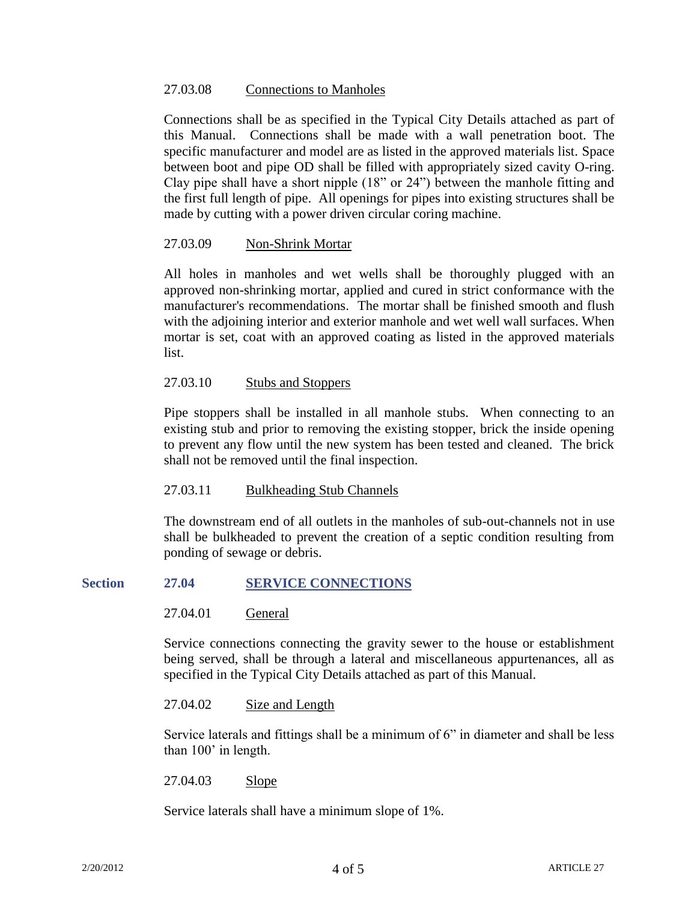#### 27.03.08 Connections to Manholes

Connections shall be as specified in the Typical City Details attached as part of this Manual. Connections shall be made with a wall penetration boot. The specific manufacturer and model are as listed in the approved materials list. Space between boot and pipe OD shall be filled with appropriately sized cavity O-ring. Clay pipe shall have a short nipple (18" or 24") between the manhole fitting and the first full length of pipe. All openings for pipes into existing structures shall be made by cutting with a power driven circular coring machine.

#### 27.03.09 Non-Shrink Mortar

All holes in manholes and wet wells shall be thoroughly plugged with an approved non-shrinking mortar, applied and cured in strict conformance with the manufacturer's recommendations. The mortar shall be finished smooth and flush with the adjoining interior and exterior manhole and wet well wall surfaces. When mortar is set, coat with an approved coating as listed in the approved materials list.

#### 27.03.10 Stubs and Stoppers

Pipe stoppers shall be installed in all manhole stubs. When connecting to an existing stub and prior to removing the existing stopper, brick the inside opening to prevent any flow until the new system has been tested and cleaned. The brick shall not be removed until the final inspection.

#### 27.03.11 Bulkheading Stub Channels

The downstream end of all outlets in the manholes of sub-out-channels not in use shall be bulkheaded to prevent the creation of a septic condition resulting from ponding of sewage or debris.

#### **Section 27.04 SERVICE CONNECTIONS**

27.04.01 General

Service connections connecting the gravity sewer to the house or establishment being served, shall be through a lateral and miscellaneous appurtenances, all as specified in the Typical City Details attached as part of this Manual.

27.04.02 Size and Length

Service laterals and fittings shall be a minimum of  $6$ " in diameter and shall be less than 100' in length.

27.04.03 Slope

Service laterals shall have a minimum slope of 1%.